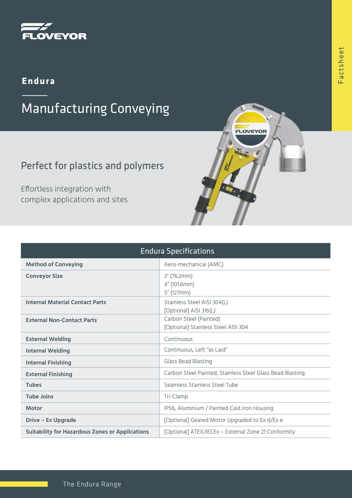

### **Endura**

# Manufacturing Conveying

## Perfect for plastics and polymers

Effortless integration with complex applications and sites

| <b>Endura Specifications</b>                           |                                                               |
|--------------------------------------------------------|---------------------------------------------------------------|
| <b>Method of Conveying</b>                             | Aero-mechanical (AMC)                                         |
| <b>Conveyor Size</b>                                   | $3''$ (76.2mm)<br>4" (101.6mm)<br>5" (127mm)                  |
| <b>Internal Material Contact Parts</b>                 | Stainless Steel AISI 304(L)<br>[Optional] AISI 316(L)         |
| <b>External Non-Contact Parts</b>                      | Carbon Steel (Painted)<br>[Optional] Stainless Steel AISI 304 |
| <b>External Welding</b>                                | Continuous                                                    |
| <b>Internal Welding</b>                                | Continuous, Left "as Laid"                                    |
| <b>Internal Finishing</b>                              | Glass Bead Blasting                                           |
| <b>External Finishing</b>                              | Carbon Steel Painted, Stainless Steel Glass Bead Blasting     |
| <b>Tubes</b>                                           | Seamless Stainless Steel Tube                                 |
| <b>Tube Joins</b>                                      | Tri-Clamp                                                     |
| <b>Motor</b>                                           | IP56, Aluminium / Painted Cast Iron Housing                   |
| <b>Drive - Ex Upgrade</b>                              | [Optional] Geared Motor Upgraded to Ex d/Ex e                 |
| <b>Suitability for Hazardous Zones or Applications</b> | [Optional] ATEX/IECEx - External Zone 21 Conformity           |

**OVEYOR**